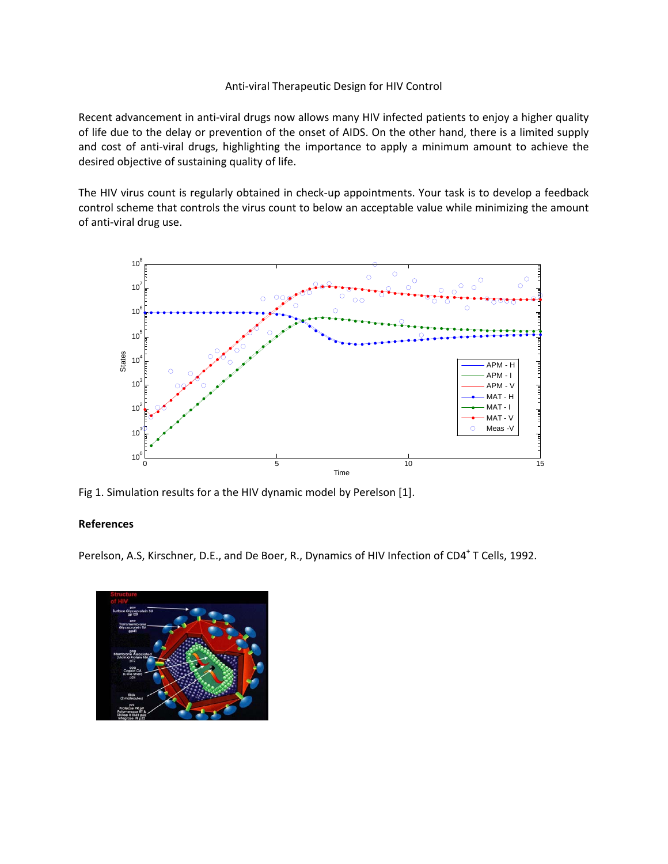## Anti‐viral Therapeutic Design for HIV Control

Recent advancement in anti-viral drugs now allows many HIV infected patients to enjoy a higher quality of life due to the delay or prevention of the onset of AIDS. On the other hand, there is a limited supply and cost of anti-viral drugs, highlighting the importance to apply a minimum amount to achieve the desired objective of sustaining quality of life.

The HIV virus count is regularly obtained in check-up appointments. Your task is to develop a feedback control scheme that controls the virus count to below an acceptable value while minimizing the amount of anti‐viral drug use.



Fig 1. Simulation results for a the HIV dynamic model by Perelson [1].

## **References**

Perelson, A.S, Kirschner, D.E., and De Boer, R., Dynamics of HIV Infection of CD4<sup>+</sup> T Cells, 1992.